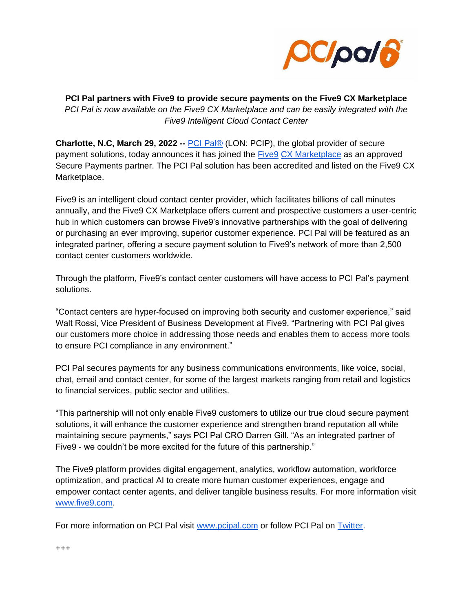

**PCI Pal partners with Five9 to provide secure payments on the Five9 CX Marketplace**  *PCI Pal is now available on the Five9 CX Marketplace and can be easily integrated with the Five9 Intelligent Cloud Contact Center*

**Charlotte, N.C, March 29, 2022 --** [PCI Pal®](https://www.pcipal.com/) (LON: PCIP), the global provider of secure payment solutions, today announces it has joined the [Five9](https://www.five9.com/about) [CX Marketplace](https://marketplace.five9.com/s/) as an approved Secure Payments partner. The PCI Pal solution has been accredited and listed on the Five9 CX Marketplace.

Five9 is an intelligent cloud contact center provider, which facilitates billions of call minutes annually, and the Five9 CX Marketplace offers current and prospective customers a user-centric hub in which customers can browse Five9's innovative partnerships with the goal of delivering or purchasing an ever improving, superior customer experience. PCI Pal will be featured as an integrated partner, offering a secure payment solution to Five9's network of more than 2,500 contact center customers worldwide.

Through the platform, Five9's contact center customers will have access to PCI Pal's payment solutions.

"Contact centers are hyper-focused on improving both security and customer experience," said Walt Rossi, Vice President of Business Development at Five9. "Partnering with PCI Pal gives our customers more choice in addressing those needs and enables them to access more tools to ensure PCI compliance in any environment."

PCI Pal secures payments for any business communications environments, like voice, social, chat, email and contact center, for some of the largest markets ranging from retail and logistics to financial services, public sector and utilities.

"This partnership will not only enable Five9 customers to utilize our true cloud secure payment solutions, it will enhance the customer experience and strengthen brand reputation all while maintaining secure payments," says PCI Pal CRO Darren Gill. "As an integrated partner of Five9 - we couldn't be more excited for the future of this partnership."

The Five9 platform provides digital engagement, analytics, workflow automation, workforce optimization, and practical AI to create more human customer experiences, engage and empower contact center agents, and deliver tangible business results. For more information visit [www.five9.com.](http://www.five9.com/)

For more information on PCI Pal visit [www.pcipal.com](http://www.pcipal.com/) or follow PCI Pal on [Twitter.](https://twitter.com/PCIPAL?ref_src=twsrc%5Egoogle%7Ctwcamp%5Eserp%7Ctwgr%5Eauthor)